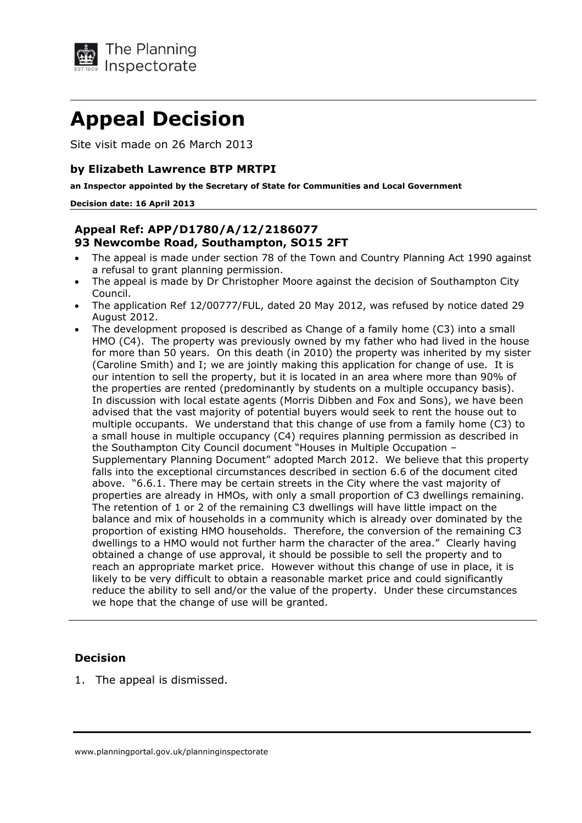

# **Appeal Decision**

Site visit made on 26 March 2013

#### **by Elizabeth Lawrence BTP MRTPI**

**an Inspector appointed by the Secretary of State for Communities and Local Government** 

#### **Decision date: 16 April 2013**

### **Appeal Ref: APP/D1780/A/12/2186077 93 Newcombe Road, Southampton, SO15 2FT**

- The appeal is made under section 78 of the Town and Country Planning Act 1990 against a refusal to grant planning permission.
- The appeal is made by Dr Christopher Moore against the decision of Southampton City Council.
- The application Ref 12/00777/FUL, dated 20 May 2012, was refused by notice dated 29 August 2012.
- The development proposed is described as Change of a family home (C3) into a small HMO (C4). The property was previously owned by my father who had lived in the house for more than 50 years. On this death (in 2010) the property was inherited by my sister (Caroline Smith) and I; we are jointly making this application for change of use. It is our intention to sell the property, but it is located in an area where more than 90% of the properties are rented (predominantly by students on a multiple occupancy basis). In discussion with local estate agents (Morris Dibben and Fox and Sons), we have been advised that the vast majority of potential buyers would seek to rent the house out to multiple occupants. We understand that this change of use from a family home (C3) to a small house in multiple occupancy (C4) requires planning permission as described in the Southampton City Council document "Houses in Multiple Occupation – Supplementary Planning Document" adopted March 2012. We believe that this property falls into the exceptional circumstances described in section 6.6 of the document cited above. "6.6.1. There may be certain streets in the City where the vast majority of properties are already in HMOs, with only a small proportion of C3 dwellings remaining. The retention of 1 or 2 of the remaining C3 dwellings will have little impact on the balance and mix of households in a community which is already over dominated by the proportion of existing HMO households. Therefore, the conversion of the remaining C3 dwellings to a HMO would not further harm the character of the area." Clearly having obtained a change of use approval, it should be possible to sell the property and to reach an appropriate market price. However without this change of use in place, it is likely to be very difficult to obtain a reasonable market price and could significantly reduce the ability to sell and/or the value of the property. Under these circumstances we hope that the change of use will be granted.

### **Decision**

1. The appeal is dismissed.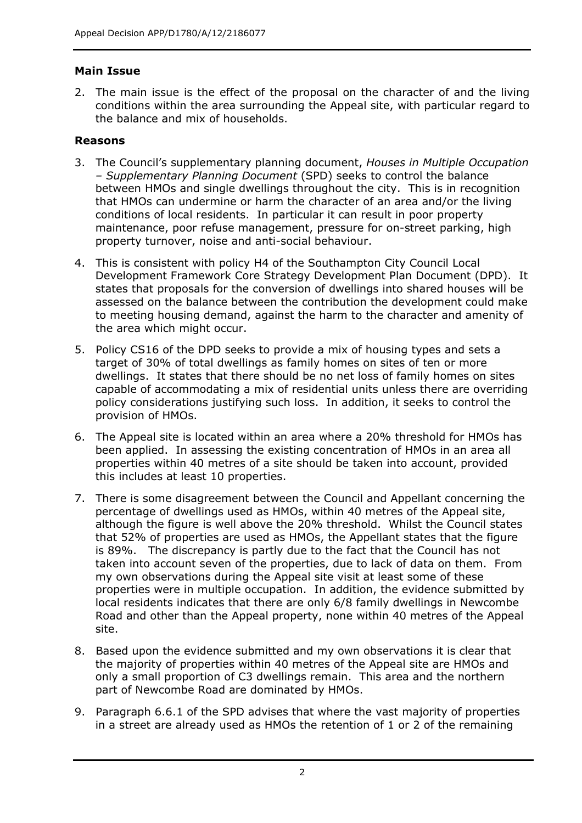# **Main Issue**

2. The main issue is the effect of the proposal on the character of and the living conditions within the area surrounding the Appeal site, with particular regard to the balance and mix of households.

# **Reasons**

- 3. The Council's supplementary planning document, *Houses in Multiple Occupation – Supplementary Planning Document* (SPD) seeks to control the balance between HMOs and single dwellings throughout the city. This is in recognition that HMOs can undermine or harm the character of an area and/or the living conditions of local residents. In particular it can result in poor property maintenance, poor refuse management, pressure for on-street parking, high property turnover, noise and anti-social behaviour.
- 4. This is consistent with policy H4 of the Southampton City Council Local Development Framework Core Strategy Development Plan Document (DPD). It states that proposals for the conversion of dwellings into shared houses will be assessed on the balance between the contribution the development could make to meeting housing demand, against the harm to the character and amenity of the area which might occur.
- 5. Policy CS16 of the DPD seeks to provide a mix of housing types and sets a target of 30% of total dwellings as family homes on sites of ten or more dwellings. It states that there should be no net loss of family homes on sites capable of accommodating a mix of residential units unless there are overriding policy considerations justifying such loss. In addition, it seeks to control the provision of HMOs.
- 6. The Appeal site is located within an area where a 20% threshold for HMOs has been applied. In assessing the existing concentration of HMOs in an area all properties within 40 metres of a site should be taken into account, provided this includes at least 10 properties.
- 7. There is some disagreement between the Council and Appellant concerning the percentage of dwellings used as HMOs, within 40 metres of the Appeal site, although the figure is well above the 20% threshold. Whilst the Council states that 52% of properties are used as HMOs, the Appellant states that the figure is 89%. The discrepancy is partly due to the fact that the Council has not taken into account seven of the properties, due to lack of data on them. From my own observations during the Appeal site visit at least some of these properties were in multiple occupation. In addition, the evidence submitted by local residents indicates that there are only 6/8 family dwellings in Newcombe Road and other than the Appeal property, none within 40 metres of the Appeal site.
- 8. Based upon the evidence submitted and my own observations it is clear that the majority of properties within 40 metres of the Appeal site are HMOs and only a small proportion of C3 dwellings remain. This area and the northern part of Newcombe Road are dominated by HMOs.
- 9. Paragraph 6.6.1 of the SPD advises that where the vast majority of properties in a street are already used as HMOs the retention of 1 or 2 of the remaining